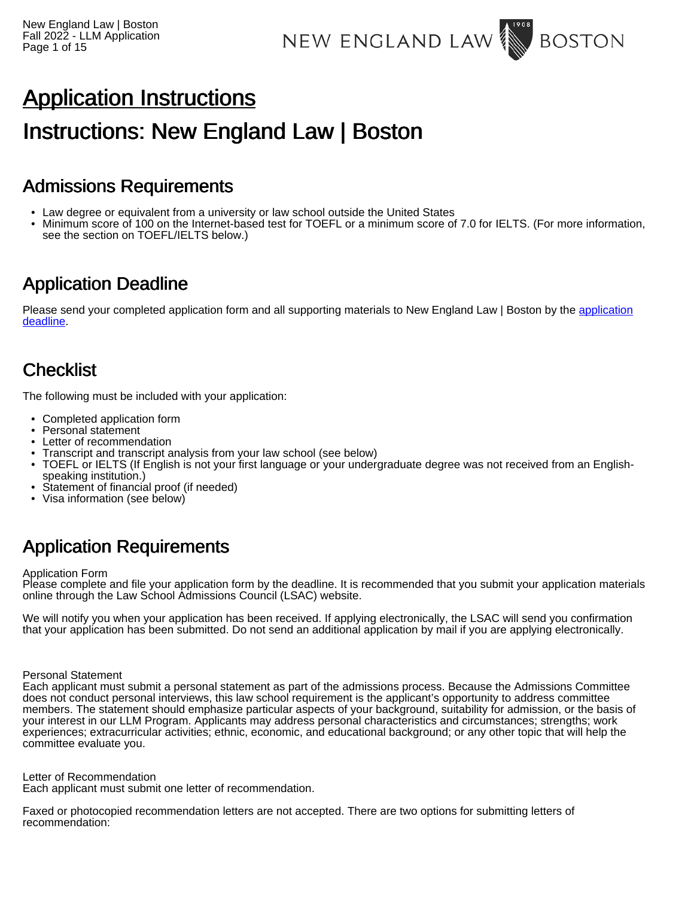# Application Instructions

# Instructions: New England Law | Boston

## Admissions Requirements

- Law degree or equivalent from a university or law school outside the United States
- Minimum score of 100 on the Internet-based test for TOEFL or a minimum score of 7.0 for IELTS. (For more information, see the section on TOEFL/IELTS below.)

## Application Deadline

Please send your completed [application](https://www.nesl.edu/admissions-aid/admission-requirements) form and all supporting materials to New England Law | Boston by the application [deadline.](https://www.nesl.edu/admissions-aid/admission-requirements)

## **Checklist**

The following must be included with your application:

- Completed application form
- Personal statement
- Letter of recommendation
- Transcript and transcript analysis from your law school (see below)
- TOEFL or IELTS (If English is not your first language or your undergraduate degree was not received from an Englishspeaking institution.)
- Statement of financial proof (if needed)
- Visa information (see below)

# Application Requirements

#### Application Form

Please complete and file your application form by the deadline. It is recommended that you submit your application materials online through the Law School Admissions Council (LSAC) website.

We will notify you when your application has been received. If applying electronically, the LSAC will send you confirmation that your application has been submitted. Do not send an additional application by mail if you are applying electronically.

Personal Statement

Each applicant must submit a personal statement as part of the admissions process. Because the Admissions Committee does not conduct personal interviews, this law school requirement is the applicant's opportunity to address committee members. The statement should emphasize particular aspects of your background, suitability for admission, or the basis of your interest in our LLM Program. Applicants may address personal characteristics and circumstances; strengths; work experiences; extracurricular activities; ethnic, economic, and educational background; or any other topic that will help the committee evaluate you.

Letter of Recommendation

Each applicant must submit one letter of recommendation.

Faxed or photocopied recommendation letters are not accepted. There are two options for submitting letters of recommendation: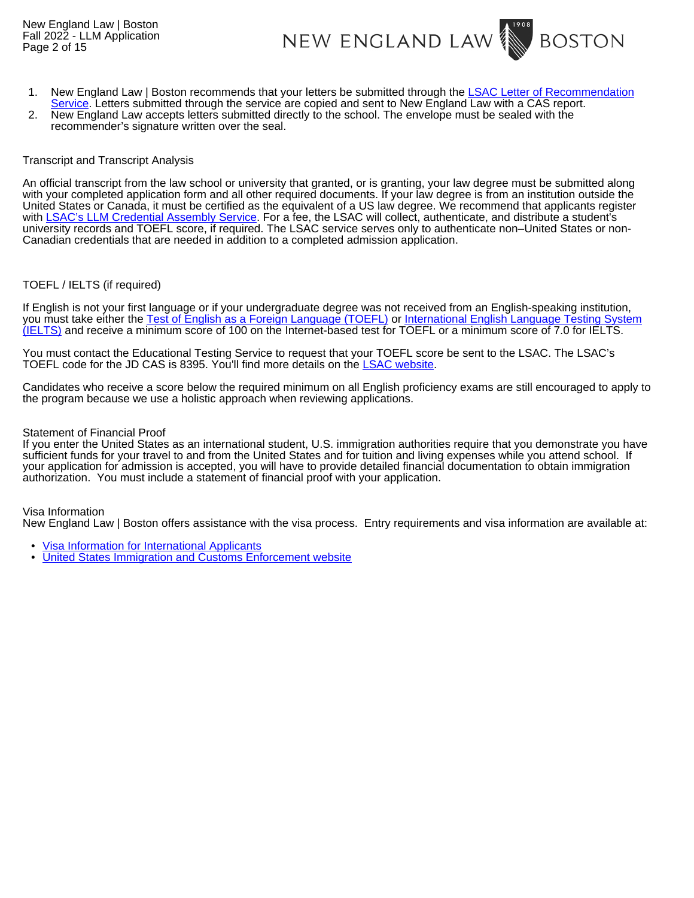New England Law | Boston Fall 2022 - LLM Application Page 2 of 15



- 1. New England Law | Boston recommends that your letters be submitted through the [LSAC Letter of Recommendation](http://www.lsac.org/jd/applying-to-law-school/cas/lor-evaluations)
- [Service](http://www.lsac.org/jd/applying-to-law-school/cas/lor-evaluations). Letters submitted through the service are copied and sent to New England Law with a CAS report. 2. New England Law accepts letters submitted directly to the school. The envelope must be sealed with the recommender's signature written over the seal.

#### Transcript and Transcript Analysis

An official transcript from the law school or university that granted, or is granting, your law degree must be submitted along with your completed application form and all other required documents. If your law degree is from an institution outside the United States or Canada, it must be certified as the equivalent of a US law degree. We recommend that applicants register with [LSAC's LLM Credential Assembly Service.](http://www.lsac.org/llm/application-process/llm-cas) For a fee, the LSAC will collect, authenticate, and distribute a student's university records and TOEFL score, if required. The LSAC service serves only to authenticate non–United States or non-Canadian credentials that are needed in addition to a completed admission application.

#### TOEFL / IELTS (if required)

If English is not your first language or if your undergraduate degree was not received from an English-speaking institution, you must take either the [Test of English as a Foreign Language \(TOEFL\)](https://www.ets.org/toefl) or [International English Language Testing System](https://www.ielts.org/en-us/what-is-ielts/ielts-for-study) [\(IELTS\)](https://www.ielts.org/en-us/what-is-ielts/ielts-for-study) and receive a minimum score of 100 on the Internet-based test for TOEFL or a minimum score of 7.0 for IELTS.

You must contact the Educational Testing Service to request that your TOEFL score be sent to the LSAC. The LSAC's TOEFL code for the JD CAS is 8395. You'll find more details on the [LSAC website.](https://www.lsac.org/llm-and-non-jd-applicants/llm-non-jd-application-process/application-requirements/english)

Candidates who receive a score below the required minimum on all English proficiency exams are still encouraged to apply to the program because we use a holistic approach when reviewing applications.

#### Statement of Financial Proof

If you enter the United States as an international student, U.S. immigration authorities require that you demonstrate you have sufficient funds for your travel to and from the United States and for tuition and living expenses while you attend school. If your application for admission is accepted, you will have to provide detailed financial documentation to obtain immigration authorization. You must include a statement of financial proof with your application.

Visa Information

New England Law | Boston offers assistance with the visa process. Entry requirements and visa information are available at:

- [Visa Information for International Applicants](https://www.nesl.edu/admissions-aid/admission-requirements/international-applicants#Form%20I-20andF-1)
- [United States Immigration and Customs Enforcement website](https://www.ice.gov/sevis/students)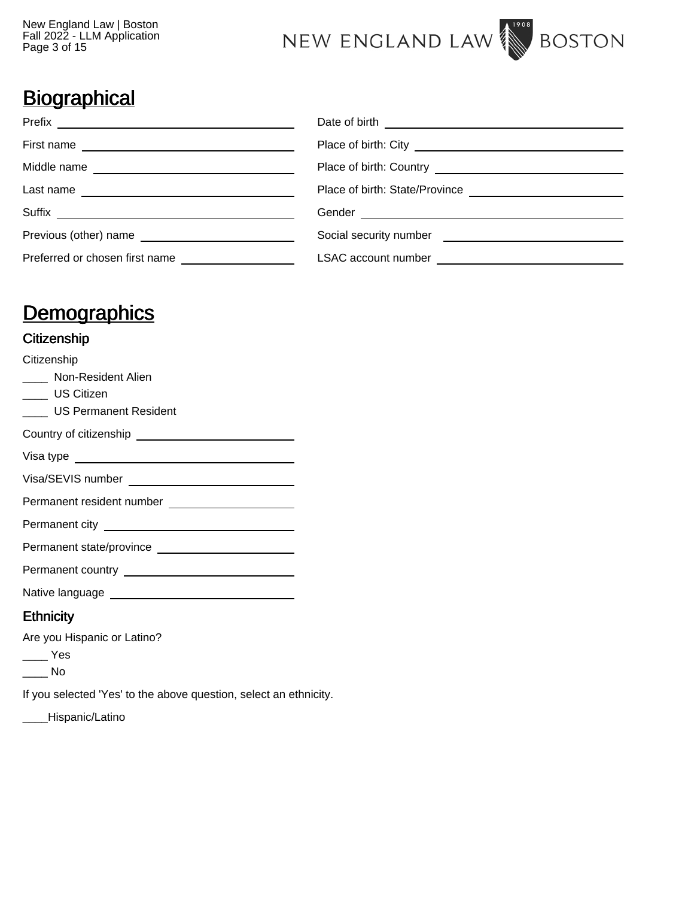

# **Biographical**

| Previous (other) name          |  |
|--------------------------------|--|
| Preferred or chosen first name |  |

# **Demographics**

### **Citizenship**

| Citizenship                                                                                                                                                                                                                         |
|-------------------------------------------------------------------------------------------------------------------------------------------------------------------------------------------------------------------------------------|
| _____ Non-Resident Alien                                                                                                                                                                                                            |
| ____ US Citizen                                                                                                                                                                                                                     |
| US Permanent Resident                                                                                                                                                                                                               |
|                                                                                                                                                                                                                                     |
| Visa type <u>equal control of</u> the state of the state of the state of the state of the state of the state of the state of the state of the state of the state of the state of the state of the state of the state of the state o |
|                                                                                                                                                                                                                                     |
|                                                                                                                                                                                                                                     |
|                                                                                                                                                                                                                                     |
|                                                                                                                                                                                                                                     |
|                                                                                                                                                                                                                                     |
|                                                                                                                                                                                                                                     |
| <b>Ethnicity</b>                                                                                                                                                                                                                    |

Are you Hispanic or Latino?

 $\equiv$  Yes

 $\_\_$  No

If you selected 'Yes' to the above question, select an ethnicity.

\_\_\_\_Hispanic/Latino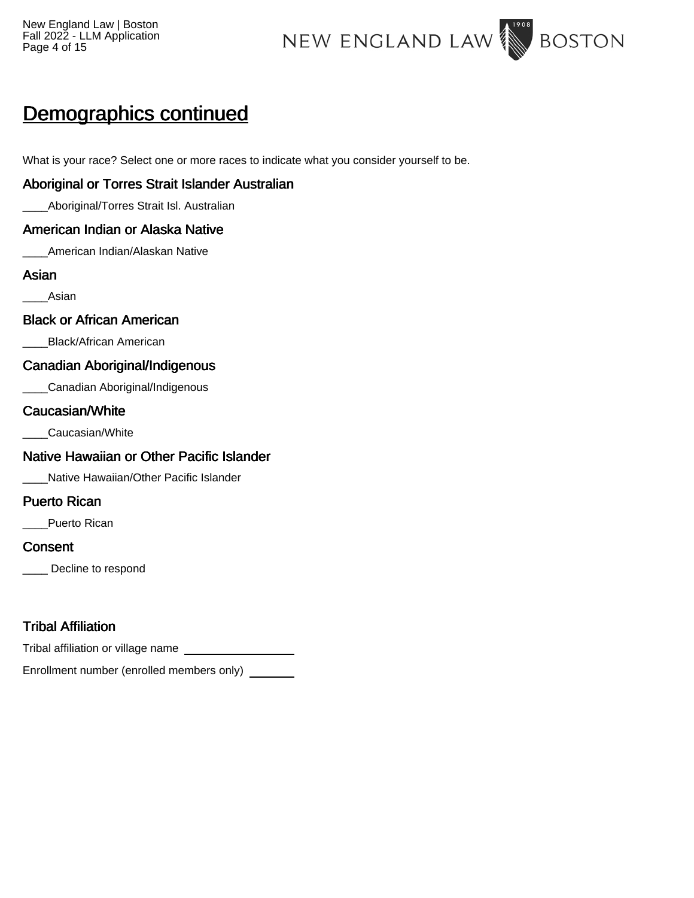New England Law | Boston Fall 2022 - LLM Application Page 4 of 15



# Demographics continued

What is your race? Select one or more races to indicate what you consider yourself to be.

### Aboriginal or Torres Strait Islander Australian

\_\_\_\_Aboriginal/Torres Strait Isl. Australian

### American Indian or Alaska Native

American Indian/Alaskan Native

### Asian

\_\_\_\_Asian

### Black or African American

\_\_\_\_Black/African American

### Canadian Aboriginal/Indigenous

\_\_\_\_Canadian Aboriginal/Indigenous

### Caucasian/White

\_\_\_\_Caucasian/White

## Native Hawaiian or Other Pacific Islander

\_\_\_\_Native Hawaiian/Other Pacific Islander

## Puerto Rican

Puerto Rican

### **Consent**

Decline to respond

## Tribal Affiliation

Tribal affiliation or village name

Enrollment number (enrolled members only)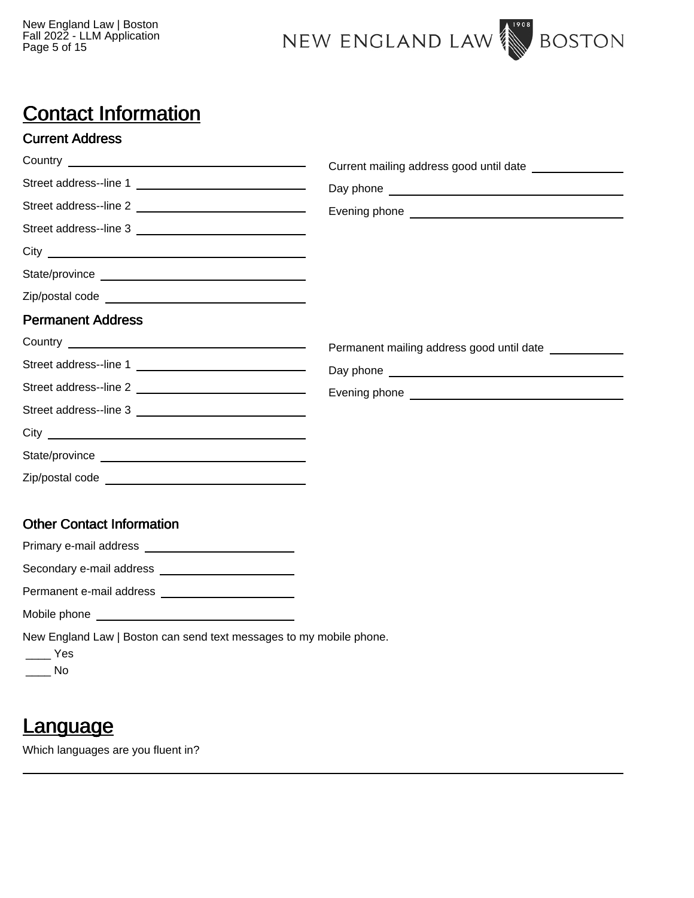

# Contact Information

### Current Address

|                                                                     | Current mailing address good until date   |
|---------------------------------------------------------------------|-------------------------------------------|
| Street address--line 1                                              |                                           |
|                                                                     |                                           |
|                                                                     |                                           |
|                                                                     |                                           |
|                                                                     |                                           |
|                                                                     |                                           |
| <b>Permanent Address</b>                                            |                                           |
|                                                                     | Permanent mailing address good until date |
| Street address--line 1 _________________________________            |                                           |
|                                                                     |                                           |
| Street address--line 3                                              |                                           |
|                                                                     |                                           |
|                                                                     |                                           |
|                                                                     |                                           |
| <b>Other Contact Information</b>                                    |                                           |
|                                                                     |                                           |
| Secondary e-mail address ________________________                   |                                           |
|                                                                     |                                           |
|                                                                     |                                           |
| New England Law   Boston can send text messages to my mobile phone. |                                           |

- $\overline{\phantom{a}}$  Yes
- \_\_\_\_ No

# **Language**

Which languages are you fluent in?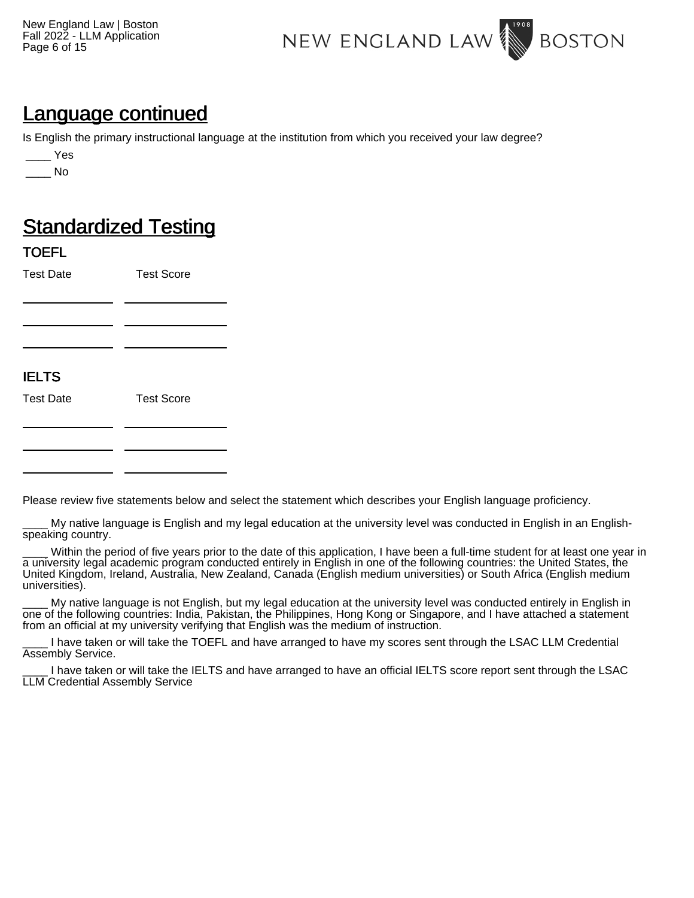New England Law | Boston Fall 2022 - LLM Application Page 6 of 15



## Language continued

Is English the primary instructional language at the institution from which you received your law degree?

\_\_\_\_ No

# **Standardized Testing**

### TOEFL

Test Date Test Score

## IELTS

Test Date Test Score

Please review five statements below and select the statement which describes your English language proficiency.

My native language is English and my legal education at the university level was conducted in English in an Englishspeaking country.

Within the period of five years prior to the date of this application, I have been a full-time student for at least one year in a university legal academic program conducted entirely in English in one of the following countries: the United States, the United Kingdom, Ireland, Australia, New Zealand, Canada (English medium universities) or South Africa (English medium universities).

My native language is not English, but my legal education at the university level was conducted entirely in English in one of the following countries: India, Pakistan, the Philippines, Hong Kong or Singapore, and I have attached a statement from an official at my university verifying that English was the medium of instruction.

I have taken or will take the TOEFL and have arranged to have my scores sent through the LSAC LLM Credential Assembly Service.

I have taken or will take the IELTS and have arranged to have an official IELTS score report sent through the LSAC LLM Credential Assembly Service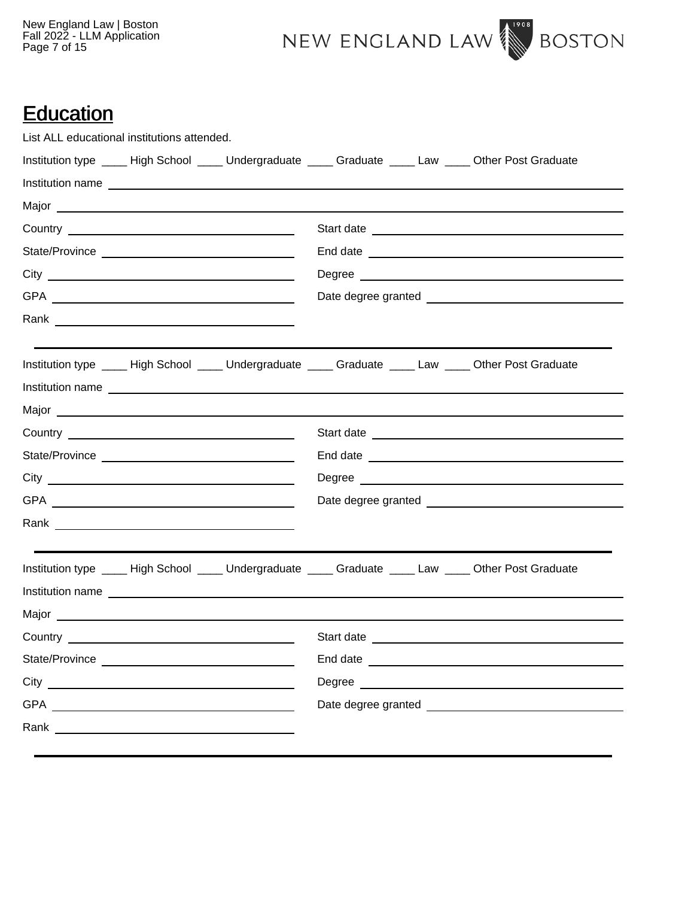New England Law | Boston Fall 2022 - LLM Application Page 7 of 15



# **Education**

|           | List ALL educational institutions attended. |                  |            |  |                                                                                                           |
|-----------|---------------------------------------------|------------------|------------|--|-----------------------------------------------------------------------------------------------------------|
|           |                                             |                  |            |  | Institution type ____ High School ____ Undergraduate ____ Graduate ____ Law ____ Other Post Graduate      |
|           |                                             | Institution name |            |  |                                                                                                           |
|           |                                             |                  |            |  |                                                                                                           |
|           |                                             |                  |            |  |                                                                                                           |
|           |                                             |                  |            |  |                                                                                                           |
|           |                                             |                  |            |  |                                                                                                           |
|           |                                             |                  |            |  |                                                                                                           |
|           |                                             |                  |            |  |                                                                                                           |
|           |                                             |                  |            |  | Institution type ____ High School ____ Undergraduate ____ Graduate ____ Law ____ Other Post Graduate      |
|           |                                             | Institution name |            |  |                                                                                                           |
|           |                                             |                  |            |  |                                                                                                           |
|           |                                             |                  |            |  |                                                                                                           |
|           |                                             |                  |            |  |                                                                                                           |
|           |                                             |                  |            |  |                                                                                                           |
|           |                                             |                  |            |  |                                                                                                           |
|           |                                             |                  |            |  |                                                                                                           |
|           |                                             |                  |            |  | Institution type _____ High School _____ Undergraduate _____ Graduate _____ Law _____ Other Post Graduate |
|           |                                             | Institution name |            |  |                                                                                                           |
|           |                                             |                  |            |  |                                                                                                           |
| Country _ |                                             |                  | Start date |  |                                                                                                           |
|           |                                             |                  |            |  |                                                                                                           |
|           |                                             |                  |            |  |                                                                                                           |
|           |                                             |                  |            |  |                                                                                                           |
|           |                                             |                  |            |  |                                                                                                           |
|           |                                             |                  |            |  |                                                                                                           |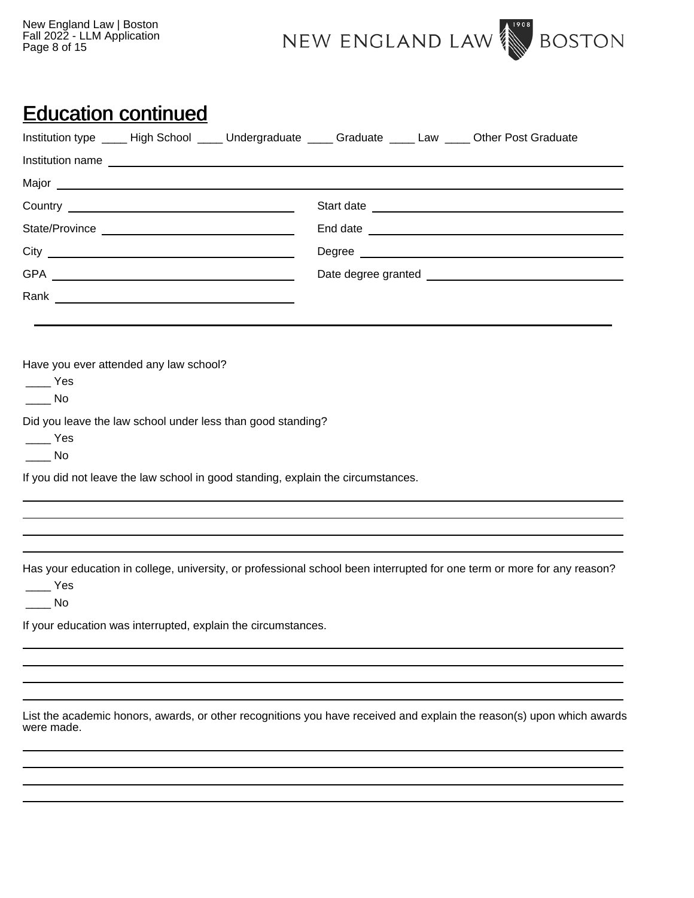New England Law | Boston Fall 2022 - LLM Application Page 8 of 15



## Education continued

| Institution type _____ High School _____ Undergraduate _____ Graduate _____ Law _____ Other Post Graduate                                                                    |                                                                                                                         |
|------------------------------------------------------------------------------------------------------------------------------------------------------------------------------|-------------------------------------------------------------------------------------------------------------------------|
|                                                                                                                                                                              |                                                                                                                         |
|                                                                                                                                                                              |                                                                                                                         |
|                                                                                                                                                                              |                                                                                                                         |
|                                                                                                                                                                              |                                                                                                                         |
|                                                                                                                                                                              |                                                                                                                         |
|                                                                                                                                                                              |                                                                                                                         |
|                                                                                                                                                                              |                                                                                                                         |
|                                                                                                                                                                              |                                                                                                                         |
| Have you ever attended any law school?<br><b>Property</b><br>$\rule{1em}{0.15mm}$ No<br>Did you leave the law school under less than good standing?<br>$\equiv$ Yes<br>in No |                                                                                                                         |
| If you did not leave the law school in good standing, explain the circumstances.                                                                                             |                                                                                                                         |
|                                                                                                                                                                              |                                                                                                                         |
|                                                                                                                                                                              |                                                                                                                         |
| Nes<br>$\overline{\phantom{a}}$ No                                                                                                                                           | Has your education in college, university, or professional school been interrupted for one term or more for any reason? |
| If your education was interrupted, explain the circumstances.                                                                                                                |                                                                                                                         |
|                                                                                                                                                                              |                                                                                                                         |
|                                                                                                                                                                              |                                                                                                                         |

List the academic honors, awards, or other recognitions you have received and explain the reason(s) upon which awards were made.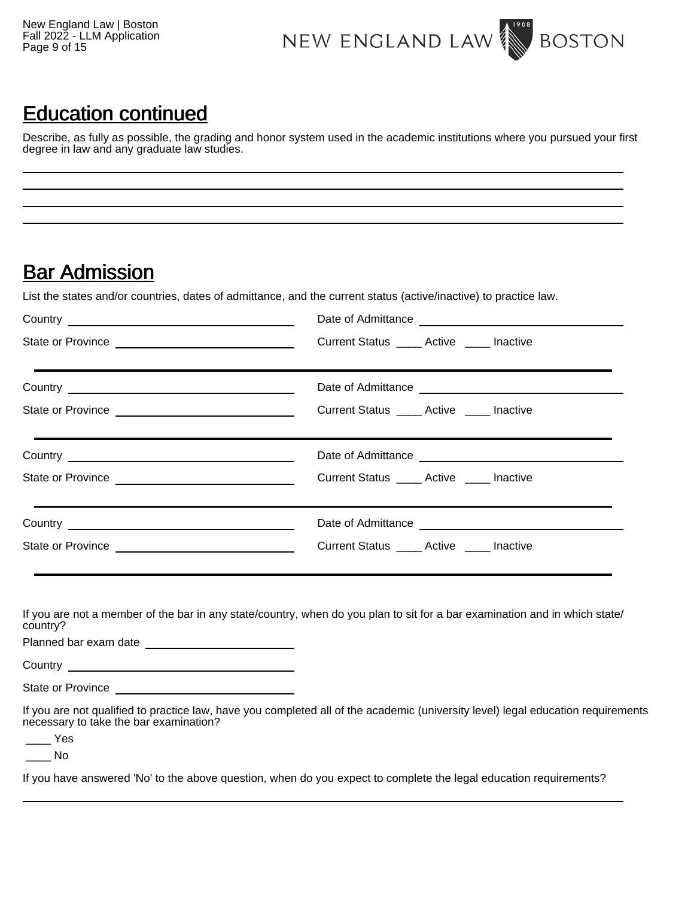New England Law | Boston Fall 2022 - LLM Application Page 9 of 15



## Education continued

Describe, as fully as possible, the grading and honor system used in the academic institutions where you pursued your first degree in law and any graduate law studies.

## **Bar Admission**

List the states and/or countries, dates of admittance, and the current status (active/inactive) to practice law.

| Date of Admittance                           |
|----------------------------------------------|
| Current Status Active Inactive               |
|                                              |
| Current Status ______ Active ______ Inactive |
|                                              |
| Current Status _____ Active _____ Inactive   |
|                                              |
| Current Status _____ Active _____ Inactive   |
|                                              |

If you are not a member of the bar in any state/country, when do you plan to sit for a bar examination and in which state/ country?

Planned bar exam date

Country \_\_

State or Province

If you are not qualified to practice law, have you completed all of the academic (university level) legal education requirements necessary to take the bar examination?

\_\_\_\_ Yes

\_\_\_\_ No

If you have answered 'No' to the above question, when do you expect to complete the legal education requirements?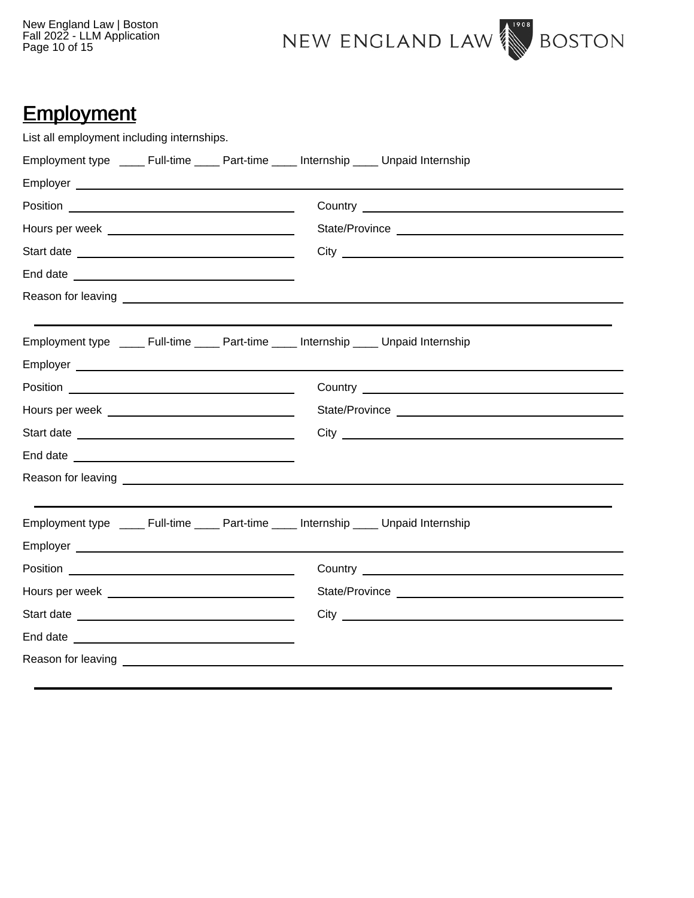New England Law | Boston Fall 2022 - LLM Application Page 10 of 15



# **Employment**

| List all employment including internships.                                                 |  |                                                                                                                                                                                                                                      |  |
|--------------------------------------------------------------------------------------------|--|--------------------------------------------------------------------------------------------------------------------------------------------------------------------------------------------------------------------------------------|--|
| Employment type ______ Full-time ______ Part-time _____ Internship _____ Unpaid Internship |  |                                                                                                                                                                                                                                      |  |
|                                                                                            |  |                                                                                                                                                                                                                                      |  |
|                                                                                            |  |                                                                                                                                                                                                                                      |  |
|                                                                                            |  |                                                                                                                                                                                                                                      |  |
|                                                                                            |  |                                                                                                                                                                                                                                      |  |
|                                                                                            |  |                                                                                                                                                                                                                                      |  |
|                                                                                            |  |                                                                                                                                                                                                                                      |  |
|                                                                                            |  |                                                                                                                                                                                                                                      |  |
| Employment type ______ Full-time _____ Part-time _____ Internship _____ Unpaid Internship  |  |                                                                                                                                                                                                                                      |  |
|                                                                                            |  |                                                                                                                                                                                                                                      |  |
|                                                                                            |  |                                                                                                                                                                                                                                      |  |
|                                                                                            |  |                                                                                                                                                                                                                                      |  |
|                                                                                            |  | City <u>superior and the second second second second second second second second second second second second second second second second second second second second second second second second second second second second sec</u> |  |
| End date <u>experience</u>                                                                 |  |                                                                                                                                                                                                                                      |  |
|                                                                                            |  |                                                                                                                                                                                                                                      |  |
|                                                                                            |  |                                                                                                                                                                                                                                      |  |
| Employment type ______ Full-time _____ Part-time _____ Internship _____ Unpaid Internship  |  |                                                                                                                                                                                                                                      |  |
|                                                                                            |  |                                                                                                                                                                                                                                      |  |
|                                                                                            |  |                                                                                                                                                                                                                                      |  |
|                                                                                            |  |                                                                                                                                                                                                                                      |  |
|                                                                                            |  |                                                                                                                                                                                                                                      |  |
|                                                                                            |  |                                                                                                                                                                                                                                      |  |
|                                                                                            |  |                                                                                                                                                                                                                                      |  |
|                                                                                            |  |                                                                                                                                                                                                                                      |  |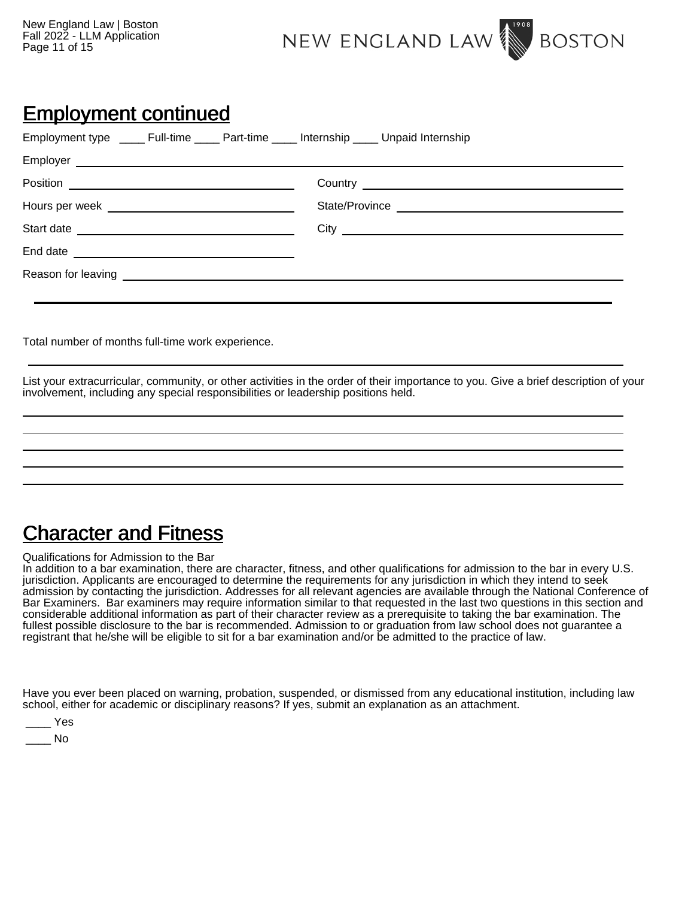New England Law | Boston Fall 2022 - LLM Application Page 11 of 15



## Employment continued

| Employment type _______ Full-time ______ Part-time ______ Internship _____ Unpaid Internship |  |  |
|----------------------------------------------------------------------------------------------|--|--|
|                                                                                              |  |  |
|                                                                                              |  |  |
|                                                                                              |  |  |
|                                                                                              |  |  |
|                                                                                              |  |  |
|                                                                                              |  |  |
|                                                                                              |  |  |
|                                                                                              |  |  |

Total number of months full-time work experience.

List your extracurricular, community, or other activities in the order of their importance to you. Give a brief description of your involvement, including any special responsibilities or leadership positions held.

# Character and Fitness

Qualifications for Admission to the Bar

In addition to a bar examination, there are character, fitness, and other qualifications for admission to the bar in every U.S. jurisdiction. Applicants are encouraged to determine the requirements for any jurisdiction in which they intend to seek admission by contacting the jurisdiction. Addresses for all relevant agencies are available through the National Conference of Bar Examiners. Bar examiners may require information similar to that requested in the last two questions in this section and considerable additional information as part of their character review as a prerequisite to taking the bar examination. The fullest possible disclosure to the bar is recommended. Admission to or graduation from law school does not guarantee a registrant that he/she will be eligible to sit for a bar examination and/or be admitted to the practice of law.

Have you ever been placed on warning, probation, suspended, or dismissed from any educational institution, including law school, either for academic or disciplinary reasons? If yes, submit an explanation as an attachment.

| ۰<br>- |
|--------|
|        |

 $\blacksquare$  No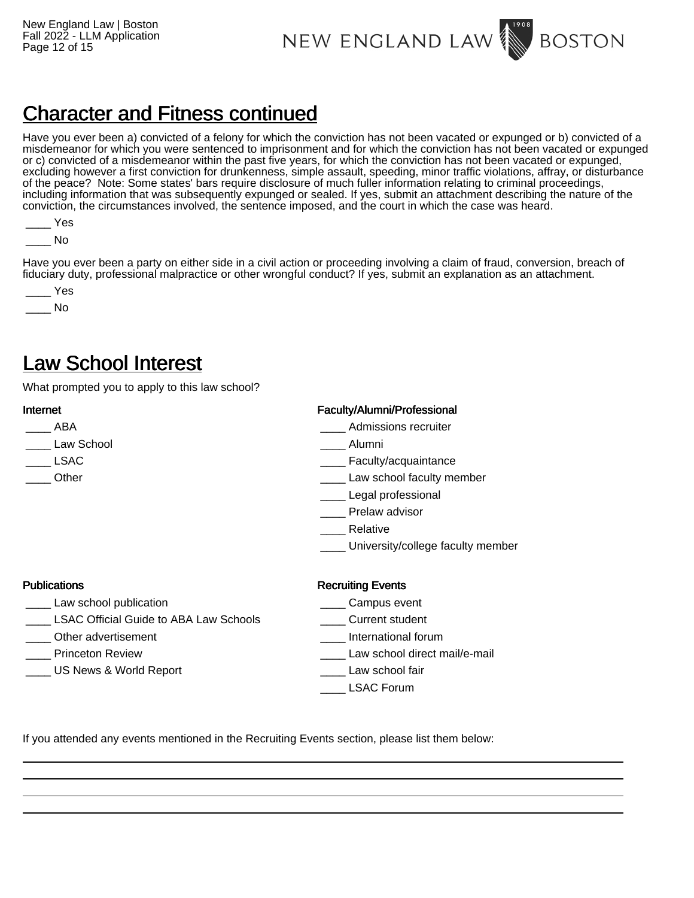NEW ENGLAND LAW **BOSTON** 

# Character and Fitness continued

Have you ever been a) convicted of a felony for which the conviction has not been vacated or expunged or b) convicted of a misdemeanor for which you were sentenced to imprisonment and for which the conviction has not been vacated or expunged or c) convicted of a misdemeanor within the past five years, for which the conviction has not been vacated or expunged, excluding however a first conviction for drunkenness, simple assault, speeding, minor traffic violations, affray, or disturbance of the peace? Note: Some states' bars require disclosure of much fuller information relating to criminal proceedings, including information that was subsequently expunged or sealed. If yes, submit an attachment describing the nature of the conviction, the circumstances involved, the sentence imposed, and the court in which the case was heard.

 $\blacksquare$  No

Have you ever been a party on either side in a civil action or proceeding involving a claim of fraud, conversion, breach of fiduciary duty, professional malpractice or other wrongful conduct? If yes, submit an explanation as an attachment.

| $\sim$<br>Yes |
|---------------|
| Nο            |

## Law School Interest

What prompted you to apply to this law school?

| Internet                                      | Faculty/Alumni/Professional       |
|-----------------------------------------------|-----------------------------------|
| ABA                                           | Admissions recruiter              |
| Law School                                    | Alumni                            |
| <b>LSAC</b>                                   | Faculty/acquaintance              |
| Other                                         | Law school faculty member         |
|                                               | Legal professional                |
|                                               | Prelaw advisor                    |
|                                               | Relative                          |
|                                               | University/college faculty member |
| <b>Publications</b>                           | <b>Recruiting Events</b>          |
| Law school publication                        | Campus event                      |
| <b>LSAC Official Guide to ABA Law Schools</b> | Current student                   |
| Other advertisement                           | International forum               |
| <b>Princeton Review</b>                       | Law school direct mail/e-mail     |

- US News & World Report **Example 2** Law school fair
	- \_\_\_\_ LSAC Forum

If you attended any events mentioned in the Recruiting Events section, please list them below: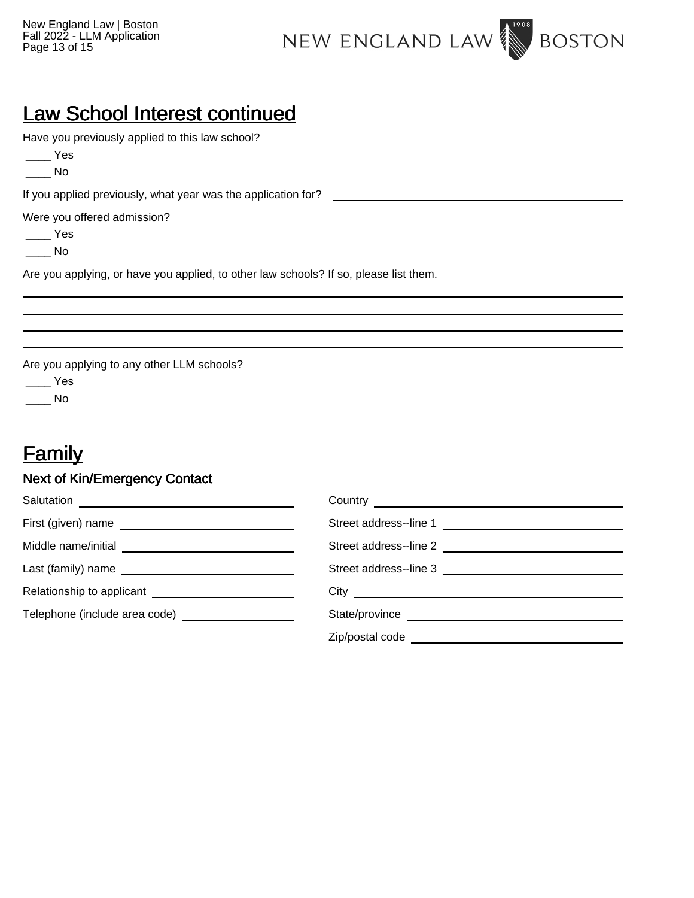

# Law School Interest continued

Have you previously applied to this law school?

 $\rule{1em}{0.15mm}$  Yes

 $\_\_$  No

If you applied previously, what year was the application for?

Were you offered admission?

 $\rule{1em}{0.15mm}$  Yes

\_\_\_\_ No

Are you applying, or have you applied, to other law schools? If so, please list them.

Are you applying to any other LLM schools?

\_\_\_\_ Yes

 $\_\_$  No

# **Family**

## Next of Kin/Emergency Contact

|                                                         | Street address--line 1 |
|---------------------------------------------------------|------------------------|
| Middle name/initial ___________________________________ |                        |
|                                                         |                        |
|                                                         |                        |
|                                                         |                        |
|                                                         |                        |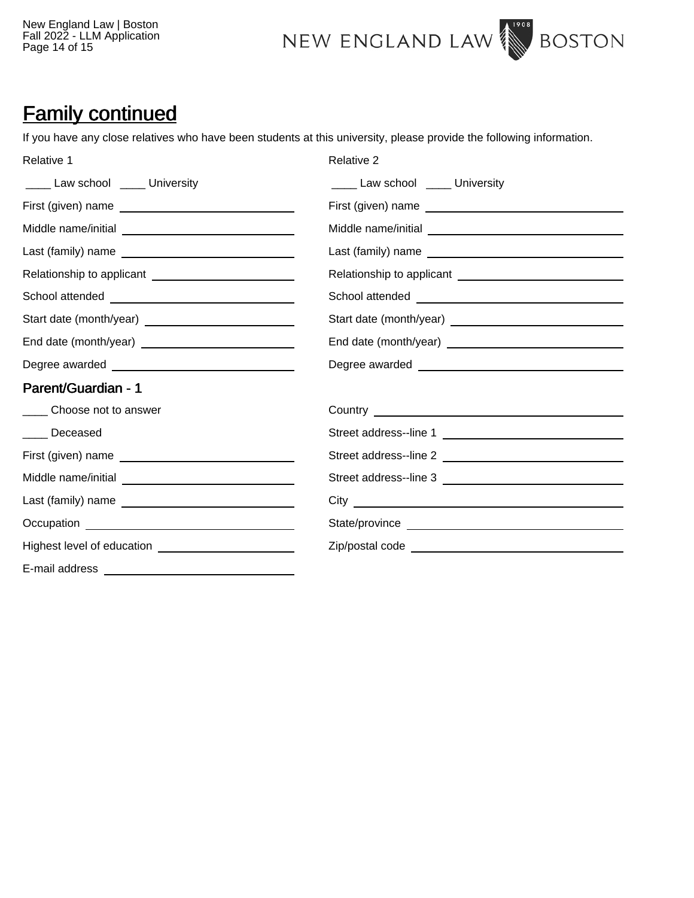New England Law | Boston Fall 2022 - LLM Application Page 14 of 15



## Family continued

If you have any close relatives who have been students at this university, please provide the following information.

| Relative 1                                                | Relative 2                                                  |
|-----------------------------------------------------------|-------------------------------------------------------------|
| _____ Law school _____ University                         | ____ Law school ____ University                             |
|                                                           |                                                             |
| Middle name/initial __________________________________    |                                                             |
|                                                           |                                                             |
| Relationship to applicant ______________________________  | Relationship to applicant _________________________________ |
|                                                           |                                                             |
| Start date (month/year) _________________________________ |                                                             |
|                                                           |                                                             |
|                                                           |                                                             |
| Parent/Guardian - 1                                       |                                                             |
| ______ Choose not to answer                               | Country <u>Country Countries</u>                            |
| ____ Deceased                                             | Street address--line 1                                      |
|                                                           |                                                             |
| Middle name/initial __________________________________    |                                                             |
|                                                           |                                                             |
|                                                           |                                                             |
|                                                           |                                                             |
|                                                           |                                                             |